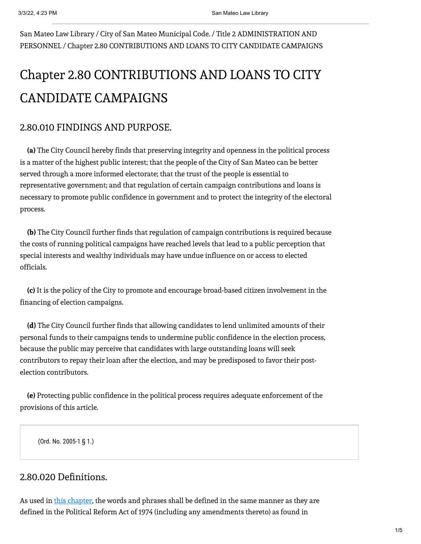San Mateo Law Library / City of San Mateo Municipal Code. / Title 2 ADMINISTRATION AND PERSONNEL / Chapter 2.80 CONTRIBUTIONS AND LOANS TO CITY CANDIDATE CAMPAIGNS

# Chapter 2.80 CONTRIBUTIONS AND LOANS TO CITY CANDIDATE CAMPAIGNS

# 2.80.010 FINDINGS AND PURPOSE.

**(a)** The City Council hereby finds that preserving integrity and openness in the political process is a matter of the highest public interest; that the people of the City of San Mateo can be better served through a more informed electorate; that the trust of the people is essential to representative government; and that regulation of certain campaign contributions and loans is necessary to promote public confidence in government and to protect the integrity of the electoral process.

**(b)** The City Council further finds that regulation of campaign contributions is required because the costs of running political campaigns have reached levels that lead to a public perception that special interests and wealthy individuals may have undue influence on or access to elected officials.

**(c)** It is the policy of the City to promote and encourage broad-based citizen involvement in the financing of election campaigns.

**(d)** The City Council further finds that allowing candidates to lend unlimited amounts of their personal funds to their campaigns tends to undermine public confidence in the election process, because the public may perceive that candidates with large outstanding loans will seek contributors to repay their loan after the election, and may be predisposed to favor their postelection contributors.

**(e)** Protecting public confidence in the political process requires adequate enforcement of the provisions of this article.

(Ord. No. 2005-1 § 1.)

### 2.80.020 Definitions.

As used in this chapter, the words and phrases shall be defined in the same manner as they are defined in the Political Reform Act of 1974 (including any amendments thereto) as found in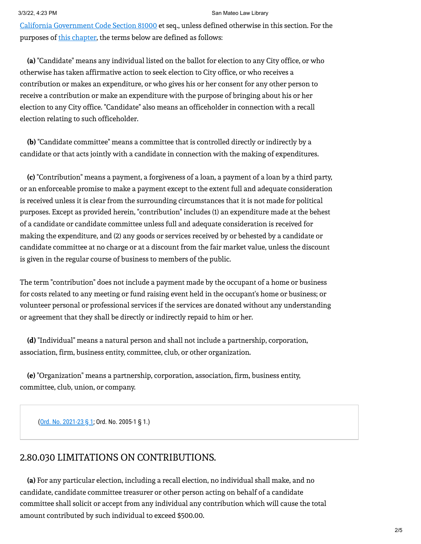#### 3/3/22, 4:23 PM San Mateo Law Library

California [Government](https://leginfo.legislature.ca.gov/faces/codes_displaySection.xhtml?sectionNum=81000&lawCode=GOV) Code Section 81000 et seq., unless defined otherwise in this section. For the purposes of this chapter, the terms below are defined as follows:

**(a)** "Candidate" means any individual listed on the ballot for election to any City office, or who otherwise has taken affirmative action to seek election to City office, or who receives a contribution or makes an expenditure, or who gives his or her consent for any other person to receive a contribution or make an expenditure with the purpose of bringing about his or her election to any City office. "Candidate" also means an officeholder in connection with a recall election relating to such officeholder.

**(b)** "Candidate committee" means a committee that is controlled directly or indirectly by a candidate or that acts jointly with a candidate in connection with the making of expenditures.

**(c)** "Contribution" means a payment, a forgiveness of a loan, a payment of a loan by a third party, or an enforceable promise to make a payment except to the extent full and adequate consideration is received unless it is clear from the surrounding circumstances that it is not made for political purposes. Except as provided herein, "contribution" includes (1) an expenditure made at the behest of a candidate or candidate committee unless full and adequate consideration is received for making the expenditure, and (2) any goods or services received by or behested by a candidate or candidate committee at no charge or at a discount from the fair market value, unless the discount is given in the regular course of business to members of the public.

The term "contribution" does not include a payment made by the occupant of a home or business for costs related to any meeting or fund raising event held in the occupant's home or business; or volunteer personal or professional services if the services are donated without any understanding or agreement that they shall be directly or indirectly repaid to him or her.

**(d)** "Individual" means a natural person and shall not include a partnership, corporation, association, firm, business entity, committee, club, or other organization.

**(e)** "Organization" means a partnership, corporation, association, firm, business entity, committee, club, union, or company.

(Ord. No. 2021-23 § 1; Ord. No. 2005-1 § 1.)

#### 2.80.030 LIMITATIONS ON CONTRIBUTIONS.

**(a)** For any particular election, including a recall election, no individual shall make, and no candidate, candidate committee treasurer or other person acting on behalf of a candidate committee shall solicit or accept from any individual any contribution which will cause the total amount contributed by such individual to exceed \$500.00.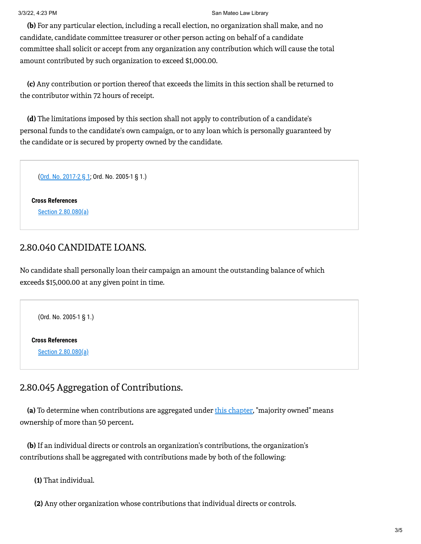#### 3/3/22, 4:23 PM San Mateo Law Library

**(b)** For any particular election, including a recall election, no organization shall make, and no candidate, candidate committee treasurer or other person acting on behalf of a candidate committee shall solicit or accept from any organization any contribution which will cause the total amount contributed by such organization to exceed \$1,000.00.

**(c)** Any contribution or portion thereof that exceeds the limits in this section shall be returned to the contributor within 72 hours of receipt.

**(d)** The limitations imposed by this section shall not apply to contribution of a candidate's personal funds to the candidate's own campaign, or to any loan which is personally guaranteed by the candidate or is secured by property owned by the candidate.

(Ord. No. 2017-2 § 1; Ord. No. 2005-1 § 1.)

**Cross References** Section 2.80.080(a)

#### 2.80.040 CANDIDATE LOANS.

No candidate shall personally loan their campaign an amount the outstanding balance of which exceeds \$15,000.00 at any given point in time.

(Ord. No. 2005-1 § 1.)

**Cross References**

Section 2.80.080(a)

# 2.80.045 Aggregation of Contributions.

**(a)** To determine when contributions are aggregated under this chapter, "majority owned" means ownership of more than 50 percent**.**

**(b)** If an individual directs or controls an organization's contributions, the organization's contributions shall be aggregated with contributions made by both of the following:

**(1)** That individual.

**(2)** Any other organization whose contributions that individual directs or controls.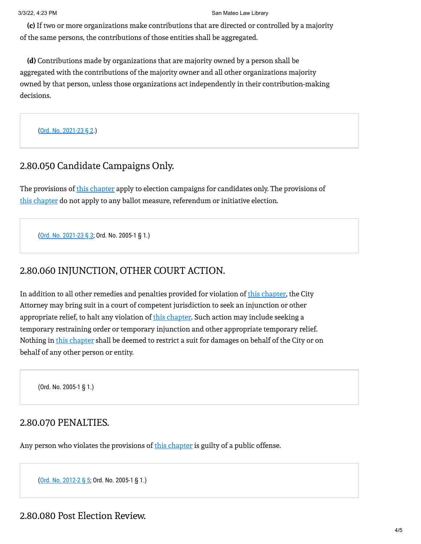**(c)** If two or more organizations make contributions that are directed or controlled by a majority of the same persons, the contributions of those entities shall be aggregated.

**(d)** Contributions made by organizations that are majority owned by a person shall be aggregated with the contributions of the majority owner and all other organizations majority owned by that person, unless those organizations act independently in their contribution-making decisions.

(Ord. No. 2021-23 § 2.)

# 2.80.050 Candidate Campaigns Only.

The provisions of this chapter apply to election campaigns for candidates only. The provisions of this chapter do not apply to any ballot measure, referendum or initiative election.

(Ord. No. 2021-23 § 3; Ord. No. 2005-1 § 1.)

# 2.80.060 INJUNCTION, OTHER COURT ACTION.

In addition to all other remedies and penalties provided for violation of this chapter, the City Attorney may bring suit in a court of competent jurisdiction to seek an injunction or other appropriate relief, to halt any violation of *this chapter*. Such action may include seeking a temporary restraining order or temporary injunction and other appropriate temporary relief. Nothing in this chapter shall be deemed to restrict a suit for damages on behalf of the City or on behalf of any other person or entity.

(Ord. No. 2005-1 § 1.)

#### 2.80.070 PENALTIES.

Any person who violates the provisions of this chapter is guilty of a public offense.

(Ord. No. 2012-2 § 5; Ord. No. 2005-1 § 1.)